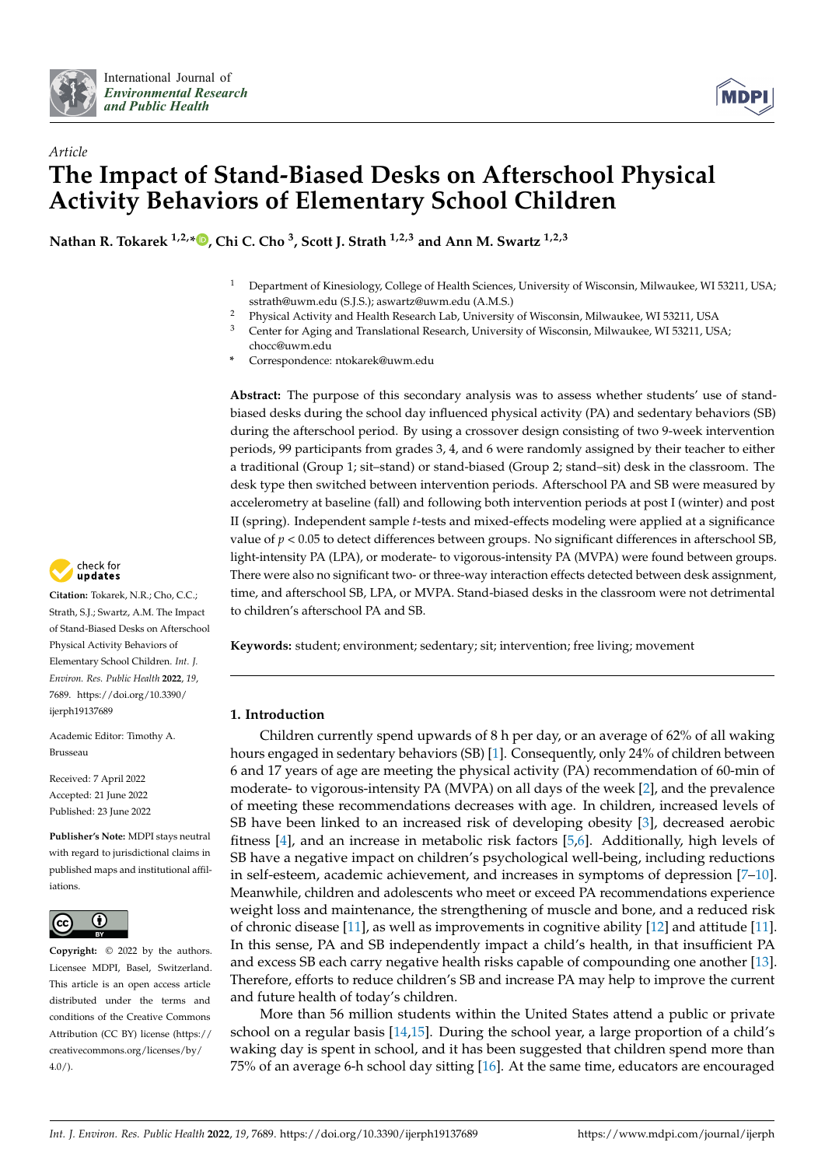



# *Article* **The Impact of Stand-Biased Desks on Afterschool Physical Activity Behaviors of Elementary School Children**

**Nathan R. Tokarek 1,2,[\\*](https://orcid.org/0000-0002-0180-0902) , Chi C. Cho <sup>3</sup> , Scott J. Strath 1,2,3 and Ann M. Swartz 1,2,3**

- <sup>1</sup> Department of Kinesiology, College of Health Sciences, University of Wisconsin, Milwaukee, WI 53211, USA; sstrath@uwm.edu (S.J.S.); aswartz@uwm.edu (A.M.S.)
- <sup>2</sup> Physical Activity and Health Research Lab, University of Wisconsin, Milwaukee, WI 53211, USA<br><sup>3</sup> Contar for Aging and Translational Becoarch University of Wisconsin, Milwaukee, WI 52211, US
- <sup>3</sup> Center for Aging and Translational Research, University of Wisconsin, Milwaukee, WI 53211, USA;
	- chocc@uwm.edu
- **\*** Correspondence: ntokarek@uwm.edu

**Abstract:** The purpose of this secondary analysis was to assess whether students' use of standbiased desks during the school day influenced physical activity (PA) and sedentary behaviors (SB) during the afterschool period. By using a crossover design consisting of two 9-week intervention periods, 99 participants from grades 3, 4, and 6 were randomly assigned by their teacher to either a traditional (Group 1; sit–stand) or stand-biased (Group 2; stand–sit) desk in the classroom. The desk type then switched between intervention periods. Afterschool PA and SB were measured by accelerometry at baseline (fall) and following both intervention periods at post I (winter) and post II (spring). Independent sample *t*-tests and mixed-effects modeling were applied at a significance value of *p* < 0.05 to detect differences between groups. No significant differences in afterschool SB, light-intensity PA (LPA), or moderate- to vigorous-intensity PA (MVPA) were found between groups. There were also no significant two- or three-way interaction effects detected between desk assignment, time, and afterschool SB, LPA, or MVPA. Stand-biased desks in the classroom were not detrimental to children's afterschool PA and SB.

**Keywords:** student; environment; sedentary; sit; intervention; free living; movement

# **1. Introduction**

Children currently spend upwards of 8 h per day, or an average of 62% of all waking hours engaged in sedentary behaviors (SB) [\[1\]](#page-9-0). Consequently, only 24% of children between 6 and 17 years of age are meeting the physical activity (PA) recommendation of 60-min of moderate- to vigorous-intensity PA (MVPA) on all days of the week [\[2\]](#page-9-1), and the prevalence of meeting these recommendations decreases with age. In children, increased levels of SB have been linked to an increased risk of developing obesity [\[3\]](#page-9-2), decreased aerobic fitness [\[4\]](#page-10-0), and an increase in metabolic risk factors [\[5](#page-10-1)[,6\]](#page-10-2). Additionally, high levels of SB have a negative impact on children's psychological well-being, including reductions in self-esteem, academic achievement, and increases in symptoms of depression [\[7](#page-10-3)[–10\]](#page-10-4). Meanwhile, children and adolescents who meet or exceed PA recommendations experience weight loss and maintenance, the strengthening of muscle and bone, and a reduced risk of chronic disease [\[11\]](#page-10-5), as well as improvements in cognitive ability [\[12\]](#page-10-6) and attitude [\[11\]](#page-10-5). In this sense, PA and SB independently impact a child's health, in that insufficient PA and excess SB each carry negative health risks capable of compounding one another [\[13\]](#page-10-7). Therefore, efforts to reduce children's SB and increase PA may help to improve the current and future health of today's children.

More than 56 million students within the United States attend a public or private school on a regular basis [\[14,](#page-10-8)[15\]](#page-10-9). During the school year, a large proportion of a child's waking day is spent in school, and it has been suggested that children spend more than 75% of an average 6-h school day sitting [\[16\]](#page-10-10). At the same time, educators are encouraged



**Citation:** Tokarek, N.R.; Cho, C.C.; Strath, S.J.; Swartz, A.M. The Impact of Stand-Biased Desks on Afterschool Physical Activity Behaviors of Elementary School Children. *Int. J. Environ. Res. Public Health* **2022**, *19*, 7689. [https://doi.org/10.3390/](https://doi.org/10.3390/ijerph19137689) [ijerph19137689](https://doi.org/10.3390/ijerph19137689)

Academic Editor: Timothy A. Brusseau

Received: 7 April 2022 Accepted: 21 June 2022 Published: 23 June 2022

**Publisher's Note:** MDPI stays neutral with regard to jurisdictional claims in published maps and institutional affiliations.



**Copyright:** © 2022 by the authors. Licensee MDPI, Basel, Switzerland. This article is an open access article distributed under the terms and conditions of the Creative Commons Attribution (CC BY) license [\(https://](https://creativecommons.org/licenses/by/4.0/) [creativecommons.org/licenses/by/](https://creativecommons.org/licenses/by/4.0/)  $4.0/$ ).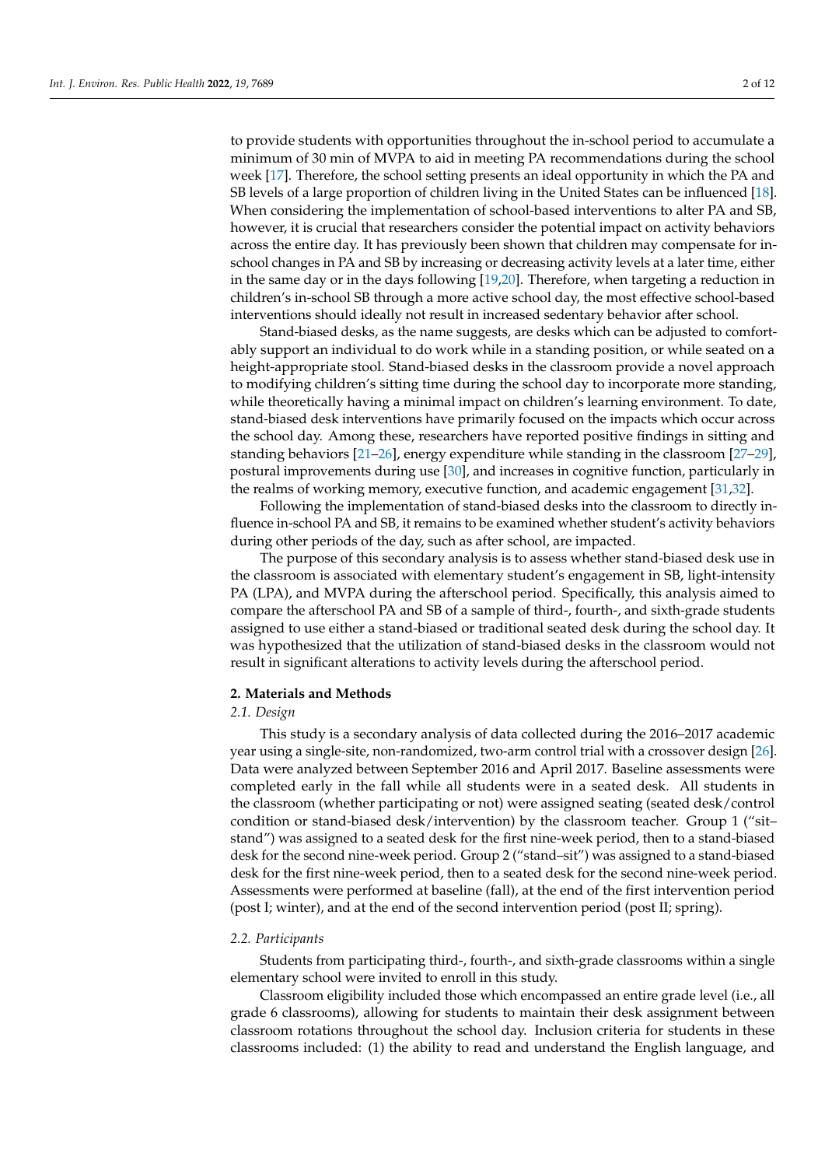to provide students with opportunities throughout the in-school period to accumulate a minimum of 30 min of MVPA to aid in meeting PA recommendations during the school week [\[17\]](#page-10-11). Therefore, the school setting presents an ideal opportunity in which the PA and SB levels of a large proportion of children living in the United States can be influenced [\[18\]](#page-10-12). When considering the implementation of school-based interventions to alter PA and SB, however, it is crucial that researchers consider the potential impact on activity behaviors across the entire day. It has previously been shown that children may compensate for inschool changes in PA and SB by increasing or decreasing activity levels at a later time, either in the same day or in the days following [\[19,](#page-10-13)[20\]](#page-10-14). Therefore, when targeting a reduction in children's in-school SB through a more active school day, the most effective school-based interventions should ideally not result in increased sedentary behavior after school.

Stand-biased desks, as the name suggests, are desks which can be adjusted to comfortably support an individual to do work while in a standing position, or while seated on a height-appropriate stool. Stand-biased desks in the classroom provide a novel approach to modifying children's sitting time during the school day to incorporate more standing, while theoretically having a minimal impact on children's learning environment. To date, stand-biased desk interventions have primarily focused on the impacts which occur across the school day. Among these, researchers have reported positive findings in sitting and standing behaviors [\[21](#page-10-15)[–26\]](#page-10-16), energy expenditure while standing in the classroom [\[27–](#page-10-17)[29\]](#page-10-18), postural improvements during use [\[30\]](#page-11-0), and increases in cognitive function, particularly in the realms of working memory, executive function, and academic engagement [\[31,](#page-11-1)[32\]](#page-11-2).

Following the implementation of stand-biased desks into the classroom to directly influence in-school PA and SB, it remains to be examined whether student's activity behaviors during other periods of the day, such as after school, are impacted.

The purpose of this secondary analysis is to assess whether stand-biased desk use in the classroom is associated with elementary student's engagement in SB, light-intensity PA (LPA), and MVPA during the afterschool period. Specifically, this analysis aimed to compare the afterschool PA and SB of a sample of third-, fourth-, and sixth-grade students assigned to use either a stand-biased or traditional seated desk during the school day. It was hypothesized that the utilization of stand-biased desks in the classroom would not result in significant alterations to activity levels during the afterschool period.

# **2. Materials and Methods**

## *2.1. Design*

This study is a secondary analysis of data collected during the 2016–2017 academic year using a single-site, non-randomized, two-arm control trial with a crossover design [\[26\]](#page-10-16). Data were analyzed between September 2016 and April 2017. Baseline assessments were completed early in the fall while all students were in a seated desk. All students in the classroom (whether participating or not) were assigned seating (seated desk/control condition or stand-biased desk/intervention) by the classroom teacher. Group 1 ("sit– stand") was assigned to a seated desk for the first nine-week period, then to a stand-biased desk for the second nine-week period. Group 2 ("stand–sit") was assigned to a stand-biased desk for the first nine-week period, then to a seated desk for the second nine-week period. Assessments were performed at baseline (fall), at the end of the first intervention period (post I; winter), and at the end of the second intervention period (post II; spring).

## *2.2. Participants*

Students from participating third-, fourth-, and sixth-grade classrooms within a single elementary school were invited to enroll in this study.

Classroom eligibility included those which encompassed an entire grade level (i.e., all grade 6 classrooms), allowing for students to maintain their desk assignment between classroom rotations throughout the school day. Inclusion criteria for students in these classrooms included: (1) the ability to read and understand the English language, and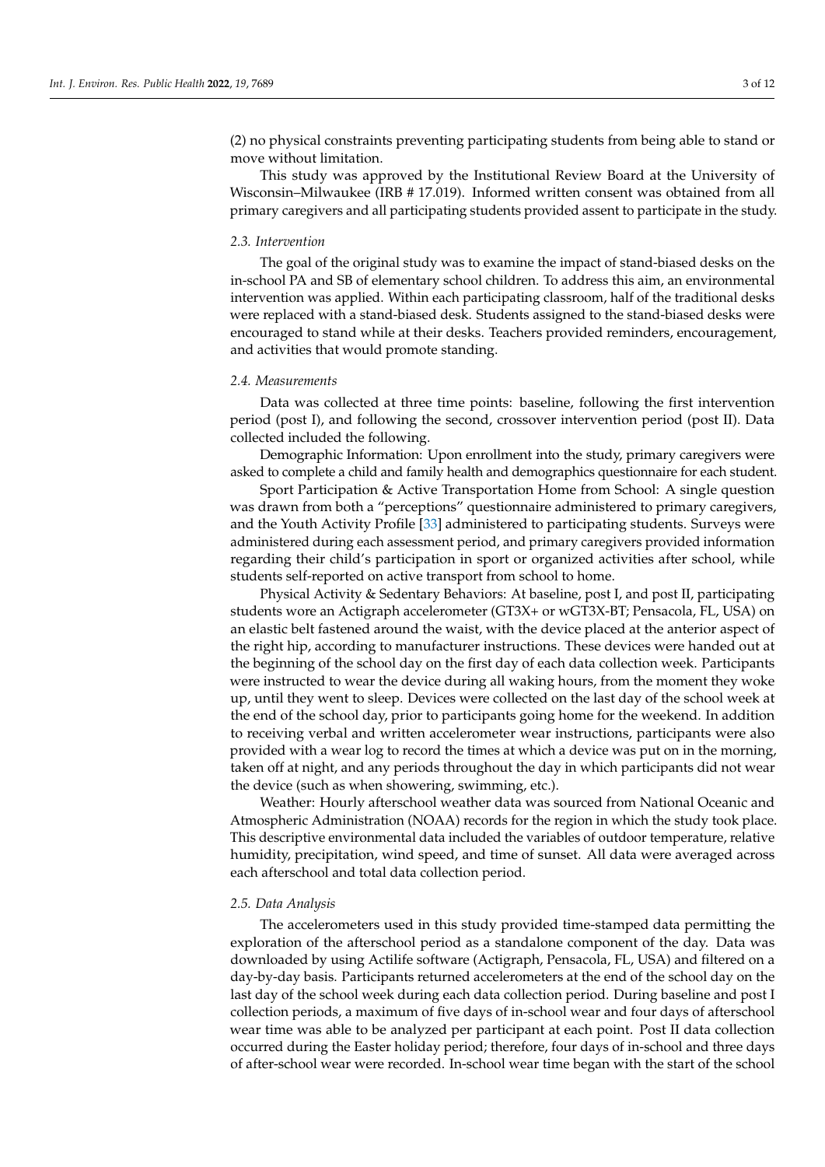(2) no physical constraints preventing participating students from being able to stand or move without limitation.

This study was approved by the Institutional Review Board at the University of Wisconsin–Milwaukee (IRB # 17.019). Informed written consent was obtained from all primary caregivers and all participating students provided assent to participate in the study.

## *2.3. Intervention*

The goal of the original study was to examine the impact of stand-biased desks on the in-school PA and SB of elementary school children. To address this aim, an environmental intervention was applied. Within each participating classroom, half of the traditional desks were replaced with a stand-biased desk. Students assigned to the stand-biased desks were encouraged to stand while at their desks. Teachers provided reminders, encouragement, and activities that would promote standing.

### *2.4. Measurements*

Data was collected at three time points: baseline, following the first intervention period (post I), and following the second, crossover intervention period (post II). Data collected included the following.

Demographic Information: Upon enrollment into the study, primary caregivers were asked to complete a child and family health and demographics questionnaire for each student.

Sport Participation & Active Transportation Home from School: A single question was drawn from both a "perceptions" questionnaire administered to primary caregivers, and the Youth Activity Profile [\[33\]](#page-11-3) administered to participating students. Surveys were administered during each assessment period, and primary caregivers provided information regarding their child's participation in sport or organized activities after school, while students self-reported on active transport from school to home.

Physical Activity & Sedentary Behaviors: At baseline, post I, and post II, participating students wore an Actigraph accelerometer (GT3X+ or wGT3X-BT; Pensacola, FL, USA) on an elastic belt fastened around the waist, with the device placed at the anterior aspect of the right hip, according to manufacturer instructions. These devices were handed out at the beginning of the school day on the first day of each data collection week. Participants were instructed to wear the device during all waking hours, from the moment they woke up, until they went to sleep. Devices were collected on the last day of the school week at the end of the school day, prior to participants going home for the weekend. In addition to receiving verbal and written accelerometer wear instructions, participants were also provided with a wear log to record the times at which a device was put on in the morning, taken off at night, and any periods throughout the day in which participants did not wear the device (such as when showering, swimming, etc.).

Weather: Hourly afterschool weather data was sourced from National Oceanic and Atmospheric Administration (NOAA) records for the region in which the study took place. This descriptive environmental data included the variables of outdoor temperature, relative humidity, precipitation, wind speed, and time of sunset. All data were averaged across each afterschool and total data collection period.

## *2.5. Data Analysis*

The accelerometers used in this study provided time-stamped data permitting the exploration of the afterschool period as a standalone component of the day. Data was downloaded by using Actilife software (Actigraph, Pensacola, FL, USA) and filtered on a day-by-day basis. Participants returned accelerometers at the end of the school day on the last day of the school week during each data collection period. During baseline and post I collection periods, a maximum of five days of in-school wear and four days of afterschool wear time was able to be analyzed per participant at each point. Post II data collection occurred during the Easter holiday period; therefore, four days of in-school and three days of after-school wear were recorded. In-school wear time began with the start of the school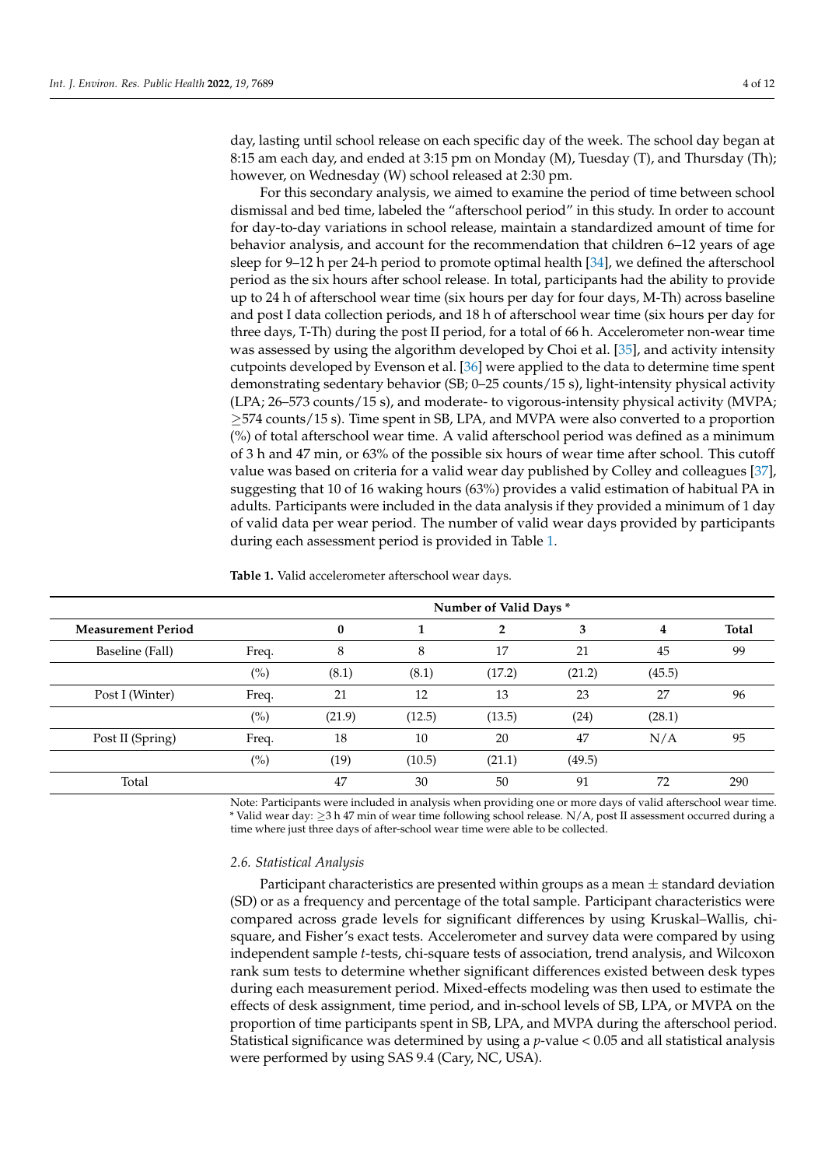day, lasting until school release on each specific day of the week. The school day began at 8:15 am each day, and ended at 3:15 pm on Monday (M), Tuesday (T), and Thursday (Th); however, on Wednesday (W) school released at 2:30 pm.

For this secondary analysis, we aimed to examine the period of time between school dismissal and bed time, labeled the "afterschool period" in this study. In order to account for day-to-day variations in school release, maintain a standardized amount of time for behavior analysis, and account for the recommendation that children 6–12 years of age sleep for 9-12 h per 24-h period to promote optimal health [\[34\]](#page-11-4), we defined the afterschool period as the six hours after school release. In total, participants had the ability to provide up to 24 h of afterschool wear time (six hours per day for four days, M-Th) across baseline and post I data collection periods, and 18 h of afterschool wear time (six hours per day for three days, T-Th) during the post II period, for a total of 66 h. Accelerometer non-wear time was assessed by using the algorithm developed by Choi et al. [\[35\]](#page-11-5), and activity intensity cutpoints developed by Evenson et al. [\[36\]](#page-11-6) were applied to the data to determine time spent demonstrating sedentary behavior (SB; 0–25 counts/15 s), light-intensity physical activity (LPA; 26–573 counts/15 s), and moderate- to vigorous-intensity physical activity (MVPA; ≥574 counts/15 s). Time spent in SB, LPA, and MVPA were also converted to a proportion (%) of total afterschool wear time. A valid afterschool period was defined as a minimum of 3 h and 47 min, or 63% of the possible six hours of wear time after school. This cutoff value was based on criteria for a valid wear day published by Colley and colleagues [\[37\]](#page-11-7), suggesting that 10 of 16 waking hours (63%) provides a valid estimation of habitual PA in adults. Participants were included in the data analysis if they provided a minimum of 1 day of valid data per wear period. The number of valid wear days provided by participants during each assessment period is provided in Table [1.](#page-3-0)

|                           |       | Number of Valid Days * |        |        |        |        |              |  |  |  |  |  |  |
|---------------------------|-------|------------------------|--------|--------|--------|--------|--------------|--|--|--|--|--|--|
| <b>Measurement Period</b> |       | 0                      |        | 2      | 3      | 4      | <b>Total</b> |  |  |  |  |  |  |
| Baseline (Fall)           | Freq. | 8                      | 8      | 17     | 21     | 45     | 99           |  |  |  |  |  |  |
|                           | (%)   | (8.1)                  | (8.1)  | (17.2) | (21.2) | (45.5) |              |  |  |  |  |  |  |
| Post I (Winter)           | Freq. | 21                     | 12     | 13     | 23     | 27     | 96           |  |  |  |  |  |  |
|                           | (%)   | (21.9)                 | (12.5) | (13.5) | (24)   | (28.1) |              |  |  |  |  |  |  |
| Post II (Spring)          | Freq. | 18                     | 10     | 20     | 47     | N/A    | 95           |  |  |  |  |  |  |
|                           | (%)   | (19)                   | (10.5) | (21.1) | (49.5) |        |              |  |  |  |  |  |  |
| Total                     |       | 47                     | 30     | 50     | 91     | 72     | 290          |  |  |  |  |  |  |

<span id="page-3-0"></span>**Table 1.** Valid accelerometer afterschool wear days.

Note: Participants were included in analysis when providing one or more days of valid afterschool wear time. \* Valid wear day: ≥3 h 47 min of wear time following school release. N/A, post II assessment occurred during a time where just three days of after-school wear time were able to be collected.

## *2.6. Statistical Analysis*

Participant characteristics are presented within groups as a mean  $\pm$  standard deviation (SD) or as a frequency and percentage of the total sample. Participant characteristics were compared across grade levels for significant differences by using Kruskal–Wallis, chisquare, and Fisher's exact tests. Accelerometer and survey data were compared by using independent sample *t*-tests, chi-square tests of association, trend analysis, and Wilcoxon rank sum tests to determine whether significant differences existed between desk types during each measurement period. Mixed-effects modeling was then used to estimate the effects of desk assignment, time period, and in-school levels of SB, LPA, or MVPA on the proportion of time participants spent in SB, LPA, and MVPA during the afterschool period. Statistical significance was determined by using a *p*-value < 0.05 and all statistical analysis were performed by using SAS 9.4 (Cary, NC, USA).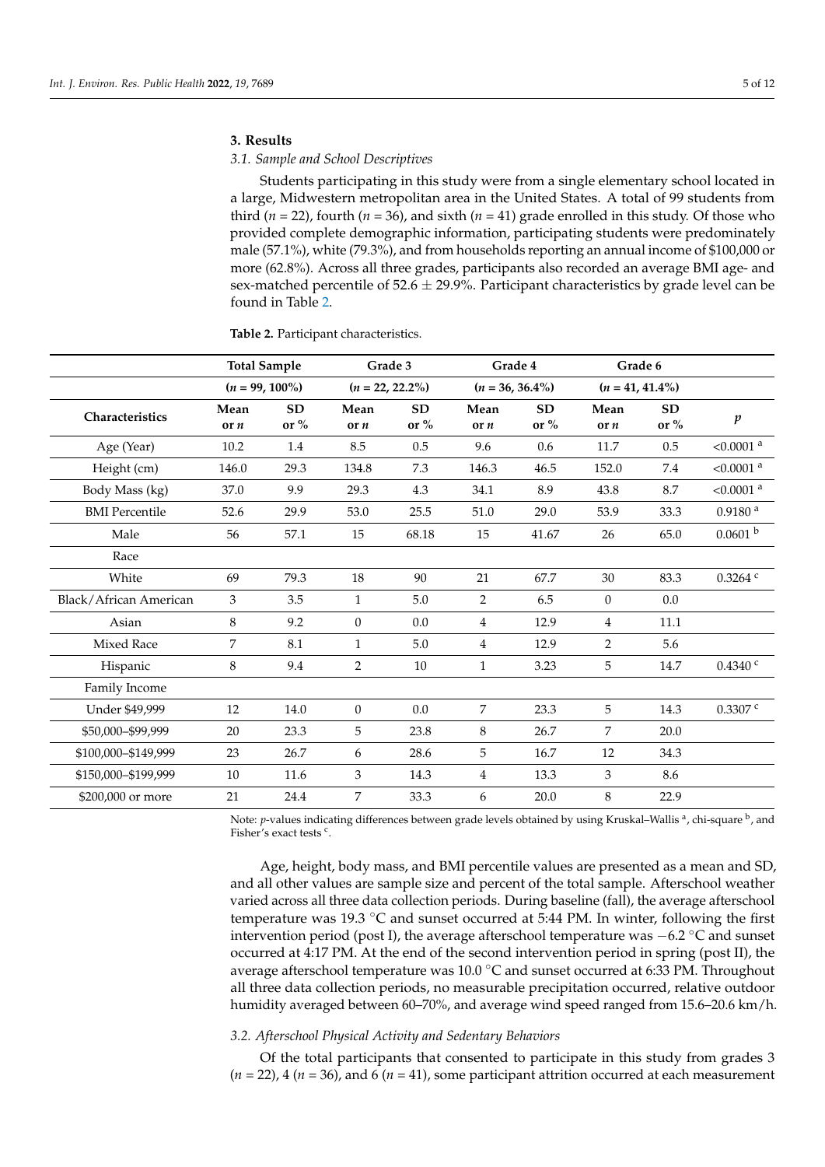# **3. Results**

# *3.1. Sample and School Descriptives*

Students participating in this study were from a single elementary school located in a large, Midwestern metropolitan area in the United States. A total of 99 students from third ( $n = 22$ ), fourth ( $n = 36$ ), and sixth ( $n = 41$ ) grade enrolled in this study. Of those who provided complete demographic information, participating students were predominately male (57.1%), white (79.3%), and from households reporting an annual income of \$100,000 or more (62.8%). Across all three grades, participants also recorded an average BMI age- and sex-matched percentile of 52.6  $\pm$  29.9%. Participant characteristics by grade level can be found in Table [2.](#page-4-0)

|                        | <b>Total Sample</b> |                   | Grade 3        |                    | Grade 4            |                    | Grade 6            |                     |                         |
|------------------------|---------------------|-------------------|----------------|--------------------|--------------------|--------------------|--------------------|---------------------|-------------------------|
|                        | $(n = 99, 100\%)$   |                   |                | $(n = 22, 22.2\%)$ | $(n = 36, 36.4\%)$ |                    | $(n = 41, 41.4\%)$ |                     |                         |
| Characteristics        | Mean<br>or n        | <b>SD</b><br>or % | Mean<br>or n   | ${\bf SD}$<br>or % | Mean<br>or n       | ${\bf SD}$<br>or % | Mean<br>or n       | <b>SD</b><br>or $%$ | $\boldsymbol{p}$        |
| Age (Year)             | 10.2                | 1.4               | 8.5            | 0.5                | 9.6                | 0.6                | 11.7               | 0.5                 | $< 0.0001$ <sup>a</sup> |
| Height (cm)            | 146.0               | 29.3              | 134.8          | 7.3                | 146.3              | 46.5               | 152.0              | 7.4                 | $< 0.0001$ <sup>a</sup> |
| Body Mass (kg)         | 37.0                | 9.9               | 29.3           | 4.3                | 34.1               | 8.9                | 43.8               | 8.7                 | $< 0.0001$ <sup>a</sup> |
| <b>BMI</b> Percentile  | 52.6                | 29.9              | 53.0           | 25.5               | 51.0               | 29.0               | 53.9               | 33.3                | 0.9180 <sup>a</sup>     |
| Male                   | 56                  | 57.1              | 15             | 68.18              | 15                 | 41.67              | 26                 | 65.0                | 0.0601 <sup>b</sup>     |
| Race                   |                     |                   |                |                    |                    |                    |                    |                     |                         |
| White                  | 69                  | 79.3              | 18             | 90                 | 21                 | 67.7               | 30                 | 83.3                | $0.3264$ $c$            |
| Black/African American | 3                   | 3.5               | $\mathbf{1}$   | 5.0                | 2                  | 6.5                | $\theta$           | 0.0                 |                         |
| Asian                  | 8                   | 9.2               | $\overline{0}$ | 0.0                | $\overline{4}$     | 12.9               | $\overline{4}$     | 11.1                |                         |
| <b>Mixed Race</b>      | 7                   | 8.1               | $\mathbf{1}$   | $5.0\,$            | $\overline{4}$     | 12.9               | $\overline{2}$     | 5.6                 |                         |
| Hispanic               | 8                   | 9.4               | $\overline{2}$ | $10\,$             | $\mathbf{1}$       | 3.23               | 5                  | 14.7                | $0.4340$ <sup>c</sup>   |
| Family Income          |                     |                   |                |                    |                    |                    |                    |                     |                         |
| Under \$49,999         | 12                  | 14.0              | $\overline{0}$ | 0.0                | $\overline{7}$     | 23.3               | 5                  | 14.3                | $0.3307$ $c$            |
| \$50,000-\$99,999      | 20                  | 23.3              | 5              | 23.8               | 8                  | 26.7               | $\overline{7}$     | 20.0                |                         |
| \$100,000-\$149,999    | 23                  | 26.7              | 6              | 28.6               | 5                  | 16.7               | 12                 | 34.3                |                         |
| \$150,000-\$199,999    | 10                  | 11.6              | 3              | 14.3               | $\overline{4}$     | 13.3               | 3                  | 8.6                 |                         |
| \$200,000 or more      | 21                  | 24.4              | 7              | 33.3               | 6                  | 20.0               | 8                  | 22.9                |                         |

<span id="page-4-0"></span>**Table 2.** Participant characteristics.

Note: *p*-values indicating differences between grade levels obtained by using Kruskal–Wallis <sup>a</sup>, chi-square <sup>b</sup>, and Fisher's exact tests c.

Age, height, body mass, and BMI percentile values are presented as a mean and SD, and all other values are sample size and percent of the total sample. Afterschool weather varied across all three data collection periods. During baseline (fall), the average afterschool temperature was 19.3 ◦C and sunset occurred at 5:44 PM. In winter, following the first intervention period (post I), the average afterschool temperature was  $-6.2 \text{ °C}$  and sunset occurred at 4:17 PM. At the end of the second intervention period in spring (post II), the average afterschool temperature was 10.0 ◦C and sunset occurred at 6:33 PM. Throughout all three data collection periods, no measurable precipitation occurred, relative outdoor humidity averaged between 60–70%, and average wind speed ranged from 15.6–20.6 km/h.

# *3.2. Afterschool Physical Activity and Sedentary Behaviors*

Of the total participants that consented to participate in this study from grades 3  $(n = 22)$ , 4  $(n = 36)$ , and 6  $(n = 41)$ , some participant attrition occurred at each measurement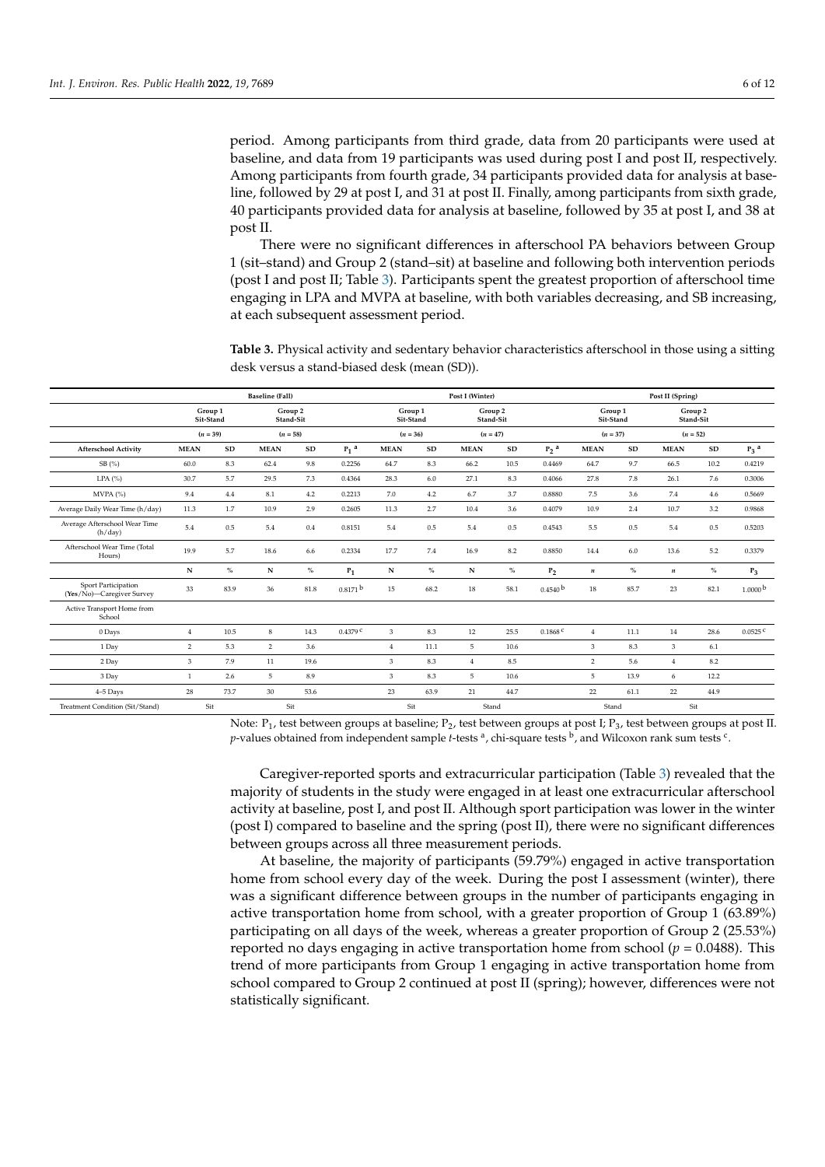period. Among participants from third grade, data from 20 participants were used at baseline, and data from 19 participants was used during post I and post II, respectively. Among participants from fourth grade, 34 participants provided data for analysis at baseline, followed by 29 at post I, and 31 at post II. Finally, among participants from sixth grade, 40 participants provided data for analysis at baseline, followed by 35 at post I, and 38 at post II.

There were no significant differences in afterschool PA behaviors between Group 1 (sit–stand) and Group 2 (stand–sit) at baseline and following both intervention periods (post I and post II; Table [3\)](#page-5-0). Participants spent the greatest proportion of afterschool time engaging in LPA and MVPA at baseline, with both variables decreasing, and SB increasing, at each subsequent assessment period.

<span id="page-5-0"></span>**Table 3.** Physical activity and sedentary behavior characteristics afterschool in those using a sitting desk versus a stand-biased desk (mean (SD)).

|                                                  |                      | <b>Baseline</b> (Fall) |                      |      |                       | Post I (Winter)                              |              |                | Post II (Spring)     |                       |                      |            |                  |            |                       |
|--------------------------------------------------|----------------------|------------------------|----------------------|------|-----------------------|----------------------------------------------|--------------|----------------|----------------------|-----------------------|----------------------|------------|------------------|------------|-----------------------|
|                                                  | Group 1<br>Sit-Stand |                        | Group 2<br>Stand-Sit |      |                       | Group 1<br>Group 2<br>Sit-Stand<br>Stand-Sit |              |                | Group 1<br>Sit-Stand |                       | Group 2<br>Stand-Sit |            |                  |            |                       |
|                                                  | $(n = 39)$           |                        | $(n = 58)$           |      |                       | $(n = 36)$                                   |              | $(n = 47)$     |                      |                       | $(n = 37)$           |            | $(n = 52)$       |            |                       |
| <b>Afterschool Activity</b>                      | <b>MEAN</b>          | ${\bf SD}$             | <b>MEAN</b>          | SD   | $P_1$ <sup>a</sup>    | <b>MEAN</b>                                  | ${\bf SD}$   | <b>MEAN</b>    | ${\bf SD}$           | $P_2$ <sup>a</sup>    | <b>MEAN</b>          | ${\bf SD}$ | <b>MEAN</b>      | ${\bf SD}$ | $P_3$ <sup>a</sup>    |
| SB(%)                                            | 60.0                 | 8.3                    | 62.4                 | 9.8  | 0.2256                | 64.7                                         | 8.3          | 66.2           | 10.5                 | 0.4469                | 64.7                 | 9.7        | 66.5             | 10.2       | 0.4219                |
| LPA $(%)$                                        | 30.7                 | 5.7                    | 29.5                 | 7.3  | 0.4364                | 28.3                                         | 6.0          | 27.1           | 8.3                  | 0.4066                | 27.8                 | 7.8        | 26.1             | 7.6        | 0.3006                |
| MVPA (%)                                         | 9.4                  | 4.4                    | 8.1                  | 4.2  | 0.2213                | $7.0\,$                                      | 4.2          | 6.7            | 3.7                  | 0.8880                | 7.5                  | 3.6        | 7.4              | 4.6        | 0.5669                |
| Average Daily Wear Time (h/day)                  | 11.3                 | 1.7                    | 10.9                 | 2.9  | 0.2605                | 11.3                                         | 2.7          | 10.4           | 3.6                  | 0.4079                | 10.9                 | 2.4        | 10.7             | 3.2        | 0.9868                |
| Average Afterschool Wear Time<br>(h/day)         | 5.4                  | 0.5                    | 5.4                  | 0.4  | 0.8151                | 5.4                                          | 0.5          | 5.4            | 0.5                  | 0.4543                | 5.5                  | 0.5        | 5.4              | 0.5        | 0.5203                |
| Afterschool Wear Time (Total<br>Hours)           | 19.9                 | 5.7                    | 18.6                 | 6.6  | 0.2334                | 17.7                                         | 7.4          | 16.9           | 8.2                  | 0.8850                | 14.4                 | 6.0        | 13.6             | 5.2        | 0.3379                |
|                                                  | ${\bf N}$            | $\%$                   | N                    | $\%$ | $P_1$                 | N                                            | $\%$         | ${\bf N}$      | $\%$                 | P <sub>2</sub>        | $\boldsymbol{n}$     | $\%$       | $\boldsymbol{n}$ | $\%$       | $P_3$                 |
| Sport Participation<br>(Yes/No)-Caregiver Survey | 33                   | 83.9                   | 36                   | 81.8 | $0.8171$ b            | 15                                           | 68.2         | 18             | 58.1                 | 0.4540 <sup>b</sup>   | 18                   | 85.7       | 23               | 82.1       | 1.0000 <sup>b</sup>   |
| Active Transport Home from<br>School             |                      |                        |                      |      |                       |                                              |              |                |                      |                       |                      |            |                  |            |                       |
| 0 Days                                           | 4                    | 10.5                   | 8                    | 14.3 | $0.4379$ <sup>C</sup> | 3                                            | 8.3          | 12             | 25.5                 | $0.1868$ <sup>c</sup> | $\overline{4}$       | 11.1       | 14               | 28.6       | $0.0525$ <sup>c</sup> |
| 1 Day                                            | 2                    | 5.3                    | $\overline{2}$       | 3.6  |                       | $\overline{4}$                               | 11.1         | 5              | 10.6                 |                       | 3                    | 8.3        | 3                | 6.1        |                       |
| 2 Day                                            | 3                    | 7.9                    | 11                   | 19.6 |                       | 3                                            | 8.3          | $\overline{4}$ | 8.5                  |                       | $\overline{2}$       | 5.6        | $\overline{4}$   | 8.2        |                       |
| 3 Day                                            | $\mathbf{1}$         | 2.6                    | 5                    | 8.9  |                       | 3                                            | 8.3          | 5              | 10.6                 |                       | 5                    | 13.9       | 6                | 12.2       |                       |
| $4-5$ Days                                       | 28                   | 73.7                   | 30                   | 53.6 |                       | 23                                           | 63.9         | 21             | 44.7                 |                       | 22                   | 61.1       | 22               | 44.9       |                       |
| Treatment Condition (Sit/Stand)                  | Sit                  |                        | Sit                  |      |                       |                                              | Sit<br>Stand |                |                      |                       | Stand                |            | Sit              |            |                       |

Note: P<sub>1</sub>, test between groups at baseline; P<sub>2</sub>, test between groups at post I; P<sub>3</sub>, test between groups at post II.  $p$ -values obtained from independent sample *t*-tests <sup>a</sup>, chi-square tests <sup>b</sup>, and Wilcoxon rank sum tests <sup>c</sup>.

Caregiver-reported sports and extracurricular participation (Table [3\)](#page-5-0) revealed that the majority of students in the study were engaged in at least one extracurricular afterschool activity at baseline, post I, and post II. Although sport participation was lower in the winter (post I) compared to baseline and the spring (post II), there were no significant differences between groups across all three measurement periods.

At baseline, the majority of participants (59.79%) engaged in active transportation home from school every day of the week. During the post I assessment (winter), there was a significant difference between groups in the number of participants engaging in active transportation home from school, with a greater proportion of Group 1 (63.89%) participating on all days of the week, whereas a greater proportion of Group 2 (25.53%) reported no days engaging in active transportation home from school ( $p = 0.0488$ ). This trend of more participants from Group 1 engaging in active transportation home from school compared to Group 2 continued at post II (spring); however, differences were not statistically significant.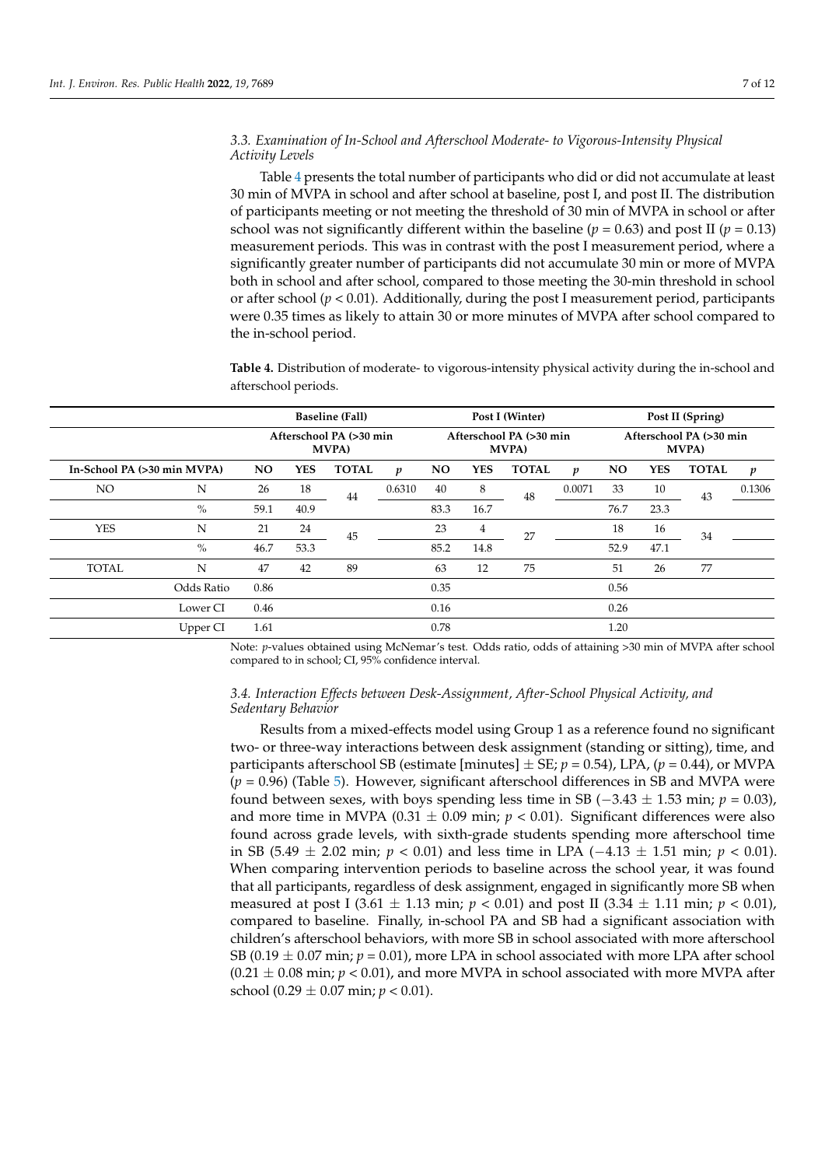# *3.3. Examination of In-School and Afterschool Moderate- to Vigorous-Intensity Physical Activity Levels*

Table [4](#page-6-0) presents the total number of participants who did or did not accumulate at least 30 min of MVPA in school and after school at baseline, post I, and post II. The distribution of participants meeting or not meeting the threshold of 30 min of MVPA in school or after school was not significantly different within the baseline ( $p = 0.63$ ) and post II ( $p = 0.13$ ) measurement periods. This was in contrast with the post I measurement period, where a significantly greater number of participants did not accumulate 30 min or more of MVPA both in school and after school, compared to those meeting the 30-min threshold in school or after school  $(p < 0.01)$ . Additionally, during the post I measurement period, participants were 0.35 times as likely to attain 30 or more minutes of MVPA after school compared to the in-school period.

<span id="page-6-0"></span>**Table 4.** Distribution of moderate- to vigorous-intensity physical activity during the in-school and afterschool periods.

|              |                             |                                          | <b>Baseline (Fall)</b> |              |                  |                                          |                | Post I (Winter) |                  | Post II (Spring)                         |            |              |                  |  |
|--------------|-----------------------------|------------------------------------------|------------------------|--------------|------------------|------------------------------------------|----------------|-----------------|------------------|------------------------------------------|------------|--------------|------------------|--|
|              |                             | Afterschool PA (>30 min<br><b>MVPA</b> ) |                        |              |                  | Afterschool PA (>30 min<br><b>MVPA</b> ) |                |                 |                  | Afterschool PA (>30 min<br><b>MVPA</b> ) |            |              |                  |  |
|              | In-School PA (>30 min MVPA) |                                          | YES                    | <b>TOTAL</b> | $\boldsymbol{p}$ | <b>NO</b>                                | <b>YES</b>     | <b>TOTAL</b>    | $\boldsymbol{p}$ | <b>NO</b>                                | <b>YES</b> | <b>TOTAL</b> | $\boldsymbol{p}$ |  |
| NO.          | N                           | 26                                       | 18                     | 44           | 0.6310           | 40                                       | 8              | 48              | 0.0071           | 33                                       | 10         | 43           | 0.1306           |  |
|              | $\%$                        | 59.1                                     | 40.9                   |              |                  | 83.3                                     | 16.7           |                 |                  | 76.7                                     | 23.3       |              |                  |  |
| <b>YES</b>   | N                           | 21                                       | 24                     | 45           |                  | 23                                       | $\overline{4}$ | 27              |                  | 18                                       | 16         | 34           |                  |  |
|              | $\%$                        | 46.7                                     | 53.3                   |              |                  | 85.2                                     | 14.8           |                 |                  | 52.9                                     | 47.1       |              |                  |  |
| <b>TOTAL</b> | N                           | 47                                       | 42                     | 89           |                  | 63                                       | 12             | 75              |                  | 51                                       | 26         | 77           |                  |  |
|              | Odds Ratio                  | 0.86                                     |                        |              |                  | 0.35                                     |                |                 |                  | 0.56                                     |            |              |                  |  |
|              | Lower CI                    | 0.46                                     |                        |              |                  | 0.16                                     |                |                 |                  | 0.26                                     |            |              |                  |  |
|              | Upper CI                    | 1.61                                     |                        |              |                  | 0.78                                     |                |                 |                  | 1.20                                     |            |              |                  |  |

Note: *p*-values obtained using McNemar's test. Odds ratio, odds of attaining >30 min of MVPA after school compared to in school; CI, 95% confidence interval.

# *3.4. Interaction Effects between Desk-Assignment, After-School Physical Activity, and Sedentary Behavior*

Results from a mixed-effects model using Group 1 as a reference found no significant two- or three-way interactions between desk assignment (standing or sitting), time, and participants afterschool SB (estimate [minutes]  $\pm$  SE;  $p = 0.54$ ), LPA, ( $p = 0.44$ ), or MVPA (*p* = 0.96) (Table [5\)](#page-7-0). However, significant afterschool differences in SB and MVPA were found between sexes, with boys spending less time in SB ( $-3.43 \pm 1.53$  min;  $p = 0.03$ ), and more time in MVPA ( $0.31 \pm 0.09$  min;  $p < 0.01$ ). Significant differences were also found across grade levels, with sixth-grade students spending more afterschool time in SB (5.49  $\pm$  2.02 min; *p* < 0.01) and less time in LPA (-4.13  $\pm$  1.51 min; *p* < 0.01). When comparing intervention periods to baseline across the school year, it was found that all participants, regardless of desk assignment, engaged in significantly more SB when measured at post I (3.61  $\pm$  1.13 min; *p* < 0.01) and post II (3.34  $\pm$  1.11 min; *p* < 0.01), compared to baseline. Finally, in-school PA and SB had a significant association with children's afterschool behaviors, with more SB in school associated with more afterschool SB (0.19  $\pm$  0.07 min;  $p = 0.01$ ), more LPA in school associated with more LPA after school  $(0.21 \pm 0.08$  min;  $p < 0.01$ ), and more MVPA in school associated with more MVPA after school (0.29  $\pm$  0.07 min; *p* < 0.01).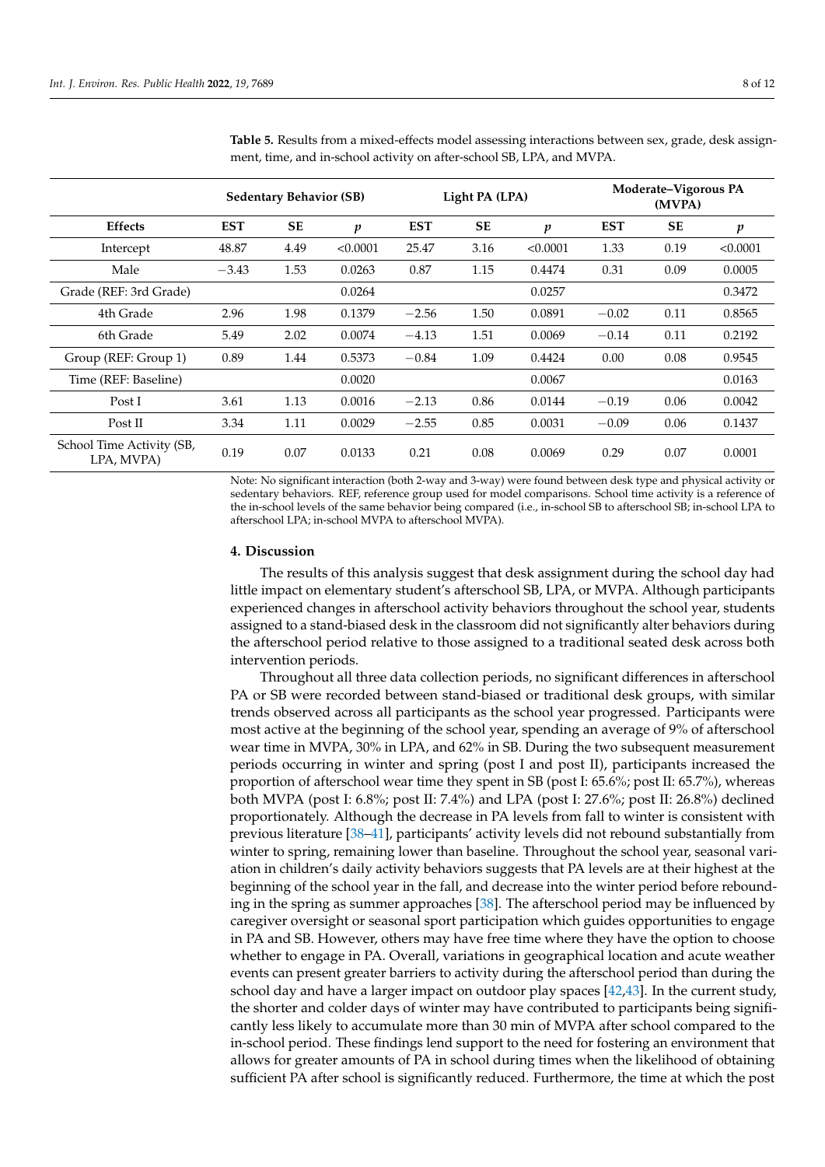|                                         |            | <b>Sedentary Behavior (SB)</b> |                  |            | Light PA (LPA) |                  | Moderate-Vigorous PA<br>(MVPA) |           |                  |  |
|-----------------------------------------|------------|--------------------------------|------------------|------------|----------------|------------------|--------------------------------|-----------|------------------|--|
| <b>Effects</b>                          | <b>EST</b> | <b>SE</b>                      | $\boldsymbol{p}$ | <b>EST</b> | <b>SE</b>      | $\boldsymbol{p}$ | <b>EST</b>                     | <b>SE</b> | $\boldsymbol{p}$ |  |
| Intercept                               | 48.87      | 4.49                           | < 0.0001         | 25.47      | 3.16           | < 0.0001         | 1.33                           | 0.19      | < 0.0001         |  |
| Male                                    | $-3.43$    | 1.53                           | 0.0263           | 0.87       | 1.15           | 0.4474           | 0.31                           | 0.09      | 0.0005           |  |
| Grade (REF: 3rd Grade)                  |            |                                | 0.0264           |            |                | 0.0257           |                                |           | 0.3472           |  |
| 4th Grade                               | 2.96       | 1.98                           | 0.1379           | $-2.56$    | 1.50           | 0.0891           | $-0.02$                        | 0.11      | 0.8565           |  |
| 6th Grade                               | 5.49       | 2.02                           | 0.0074           | $-4.13$    | 1.51           | 0.0069           | $-0.14$                        | 0.11      | 0.2192           |  |
| Group (REF: Group 1)                    | 0.89       | 1.44                           | 0.5373           | $-0.84$    | 1.09           | 0.4424           | 0.00                           | 0.08      | 0.9545           |  |
| Time (REF: Baseline)                    |            |                                | 0.0020           |            |                | 0.0067           |                                |           | 0.0163           |  |
| Post I                                  | 3.61       | 1.13                           | 0.0016           | $-2.13$    | 0.86           | 0.0144           | $-0.19$                        | 0.06      | 0.0042           |  |
| Post II                                 | 3.34       | 1.11                           | 0.0029           | $-2.55$    | 0.85           | 0.0031           | $-0.09$                        | 0.06      | 0.1437           |  |
| School Time Activity (SB,<br>LPA, MVPA) | 0.19       | 0.07                           | 0.0133           | 0.21       | 0.08           | 0.0069           | 0.29                           | 0.07      | 0.0001           |  |

<span id="page-7-0"></span>**Table 5.** Results from a mixed-effects model assessing interactions between sex, grade, desk assignment, time, and in-school activity on after-school SB, LPA, and MVPA.

Note: No significant interaction (both 2-way and 3-way) were found between desk type and physical activity or sedentary behaviors. REF, reference group used for model comparisons. School time activity is a reference of the in-school levels of the same behavior being compared (i.e., in-school SB to afterschool SB; in-school LPA to afterschool LPA; in-school MVPA to afterschool MVPA).

### **4. Discussion**

The results of this analysis suggest that desk assignment during the school day had little impact on elementary student's afterschool SB, LPA, or MVPA. Although participants experienced changes in afterschool activity behaviors throughout the school year, students assigned to a stand-biased desk in the classroom did not significantly alter behaviors during the afterschool period relative to those assigned to a traditional seated desk across both intervention periods.

Throughout all three data collection periods, no significant differences in afterschool PA or SB were recorded between stand-biased or traditional desk groups, with similar trends observed across all participants as the school year progressed. Participants were most active at the beginning of the school year, spending an average of 9% of afterschool wear time in MVPA, 30% in LPA, and 62% in SB. During the two subsequent measurement periods occurring in winter and spring (post I and post II), participants increased the proportion of afterschool wear time they spent in SB (post I: 65.6%; post II: 65.7%), whereas both MVPA (post I: 6.8%; post II: 7.4%) and LPA (post I: 27.6%; post II: 26.8%) declined proportionately. Although the decrease in PA levels from fall to winter is consistent with previous literature [\[38–](#page-11-8)[41\]](#page-11-9), participants' activity levels did not rebound substantially from winter to spring, remaining lower than baseline. Throughout the school year, seasonal variation in children's daily activity behaviors suggests that PA levels are at their highest at the beginning of the school year in the fall, and decrease into the winter period before rebounding in the spring as summer approaches [\[38\]](#page-11-8). The afterschool period may be influenced by caregiver oversight or seasonal sport participation which guides opportunities to engage in PA and SB. However, others may have free time where they have the option to choose whether to engage in PA. Overall, variations in geographical location and acute weather events can present greater barriers to activity during the afterschool period than during the school day and have a larger impact on outdoor play spaces [\[42,](#page-11-10)[43\]](#page-11-11). In the current study, the shorter and colder days of winter may have contributed to participants being significantly less likely to accumulate more than 30 min of MVPA after school compared to the in-school period. These findings lend support to the need for fostering an environment that allows for greater amounts of PA in school during times when the likelihood of obtaining sufficient PA after school is significantly reduced. Furthermore, the time at which the post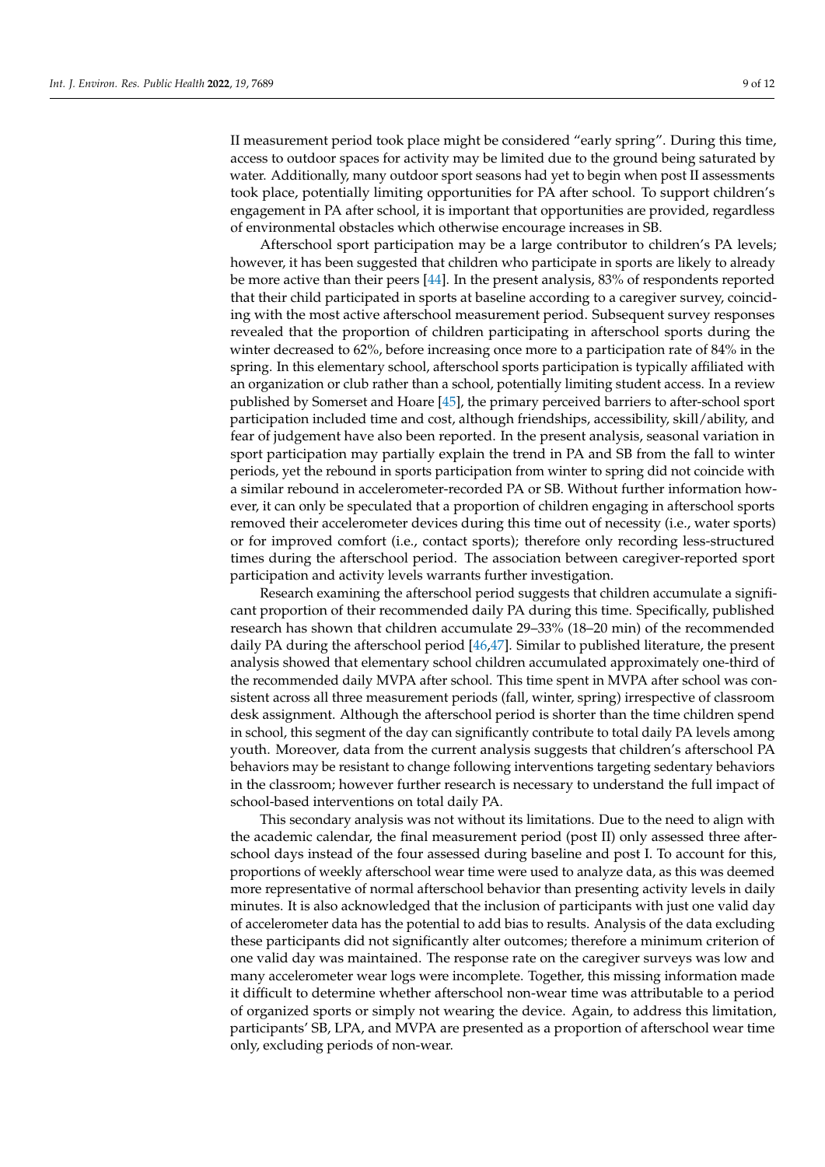II measurement period took place might be considered "early spring". During this time, access to outdoor spaces for activity may be limited due to the ground being saturated by water. Additionally, many outdoor sport seasons had yet to begin when post II assessments took place, potentially limiting opportunities for PA after school. To support children's engagement in PA after school, it is important that opportunities are provided, regardless of environmental obstacles which otherwise encourage increases in SB.

Afterschool sport participation may be a large contributor to children's PA levels; however, it has been suggested that children who participate in sports are likely to already be more active than their peers [\[44\]](#page-11-12). In the present analysis, 83% of respondents reported that their child participated in sports at baseline according to a caregiver survey, coinciding with the most active afterschool measurement period. Subsequent survey responses revealed that the proportion of children participating in afterschool sports during the winter decreased to 62%, before increasing once more to a participation rate of 84% in the spring. In this elementary school, afterschool sports participation is typically affiliated with an organization or club rather than a school, potentially limiting student access. In a review published by Somerset and Hoare [\[45\]](#page-11-13), the primary perceived barriers to after-school sport participation included time and cost, although friendships, accessibility, skill/ability, and fear of judgement have also been reported. In the present analysis, seasonal variation in sport participation may partially explain the trend in PA and SB from the fall to winter periods, yet the rebound in sports participation from winter to spring did not coincide with a similar rebound in accelerometer-recorded PA or SB. Without further information however, it can only be speculated that a proportion of children engaging in afterschool sports removed their accelerometer devices during this time out of necessity (i.e., water sports) or for improved comfort (i.e., contact sports); therefore only recording less-structured times during the afterschool period. The association between caregiver-reported sport participation and activity levels warrants further investigation.

Research examining the afterschool period suggests that children accumulate a significant proportion of their recommended daily PA during this time. Specifically, published research has shown that children accumulate 29–33% (18–20 min) of the recommended daily PA during the afterschool period [\[46,](#page-11-14)[47\]](#page-11-15). Similar to published literature, the present analysis showed that elementary school children accumulated approximately one-third of the recommended daily MVPA after school. This time spent in MVPA after school was consistent across all three measurement periods (fall, winter, spring) irrespective of classroom desk assignment. Although the afterschool period is shorter than the time children spend in school, this segment of the day can significantly contribute to total daily PA levels among youth. Moreover, data from the current analysis suggests that children's afterschool PA behaviors may be resistant to change following interventions targeting sedentary behaviors in the classroom; however further research is necessary to understand the full impact of school-based interventions on total daily PA.

This secondary analysis was not without its limitations. Due to the need to align with the academic calendar, the final measurement period (post II) only assessed three afterschool days instead of the four assessed during baseline and post I. To account for this, proportions of weekly afterschool wear time were used to analyze data, as this was deemed more representative of normal afterschool behavior than presenting activity levels in daily minutes. It is also acknowledged that the inclusion of participants with just one valid day of accelerometer data has the potential to add bias to results. Analysis of the data excluding these participants did not significantly alter outcomes; therefore a minimum criterion of one valid day was maintained. The response rate on the caregiver surveys was low and many accelerometer wear logs were incomplete. Together, this missing information made it difficult to determine whether afterschool non-wear time was attributable to a period of organized sports or simply not wearing the device. Again, to address this limitation, participants' SB, LPA, and MVPA are presented as a proportion of afterschool wear time only, excluding periods of non-wear.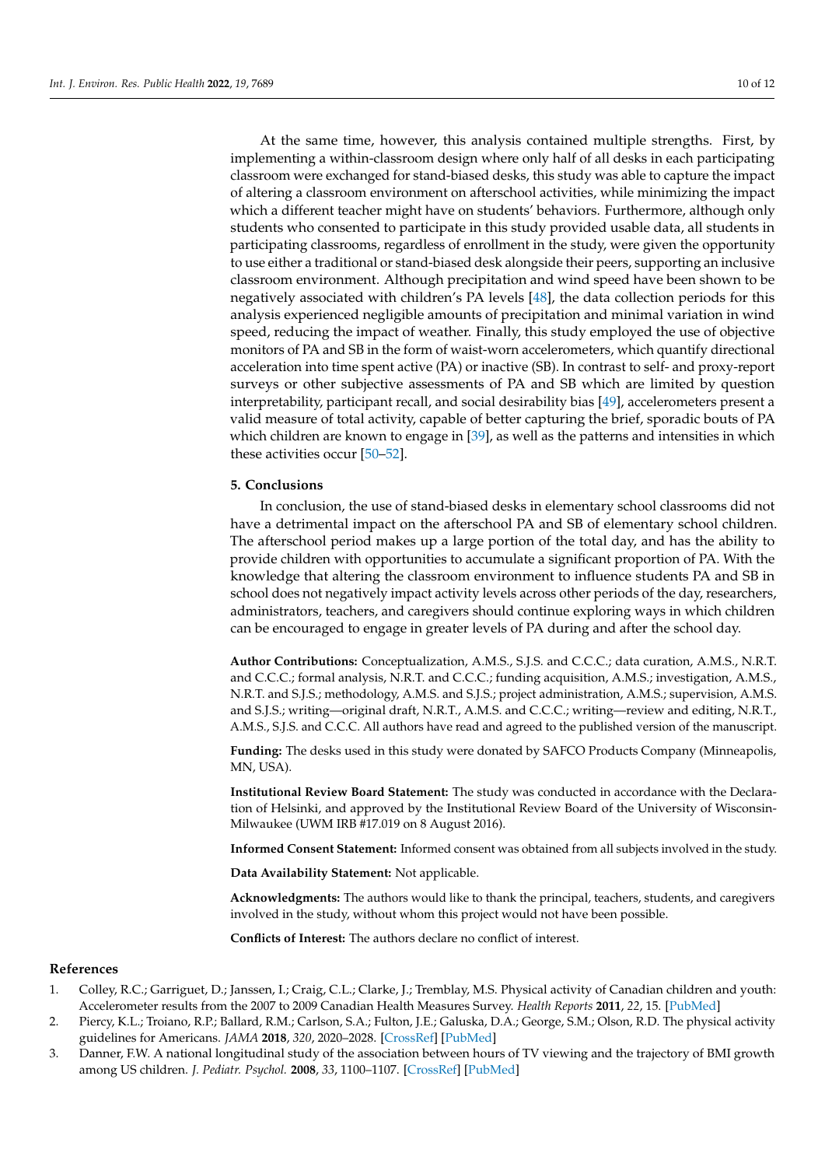At the same time, however, this analysis contained multiple strengths. First, by implementing a within-classroom design where only half of all desks in each participating classroom were exchanged for stand-biased desks, this study was able to capture the impact of altering a classroom environment on afterschool activities, while minimizing the impact which a different teacher might have on students' behaviors. Furthermore, although only students who consented to participate in this study provided usable data, all students in participating classrooms, regardless of enrollment in the study, were given the opportunity to use either a traditional or stand-biased desk alongside their peers, supporting an inclusive classroom environment. Although precipitation and wind speed have been shown to be negatively associated with children's PA levels [\[48\]](#page-11-16), the data collection periods for this analysis experienced negligible amounts of precipitation and minimal variation in wind speed, reducing the impact of weather. Finally, this study employed the use of objective monitors of PA and SB in the form of waist-worn accelerometers, which quantify directional acceleration into time spent active (PA) or inactive (SB). In contrast to self- and proxy-report surveys or other subjective assessments of PA and SB which are limited by question interpretability, participant recall, and social desirability bias [\[49\]](#page-11-17), accelerometers present a valid measure of total activity, capable of better capturing the brief, sporadic bouts of PA which children are known to engage in [\[39\]](#page-11-18), as well as the patterns and intensities in which these activities occur  $[50-52]$  $[50-52]$ .

# **5. Conclusions**

In conclusion, the use of stand-biased desks in elementary school classrooms did not have a detrimental impact on the afterschool PA and SB of elementary school children. The afterschool period makes up a large portion of the total day, and has the ability to provide children with opportunities to accumulate a significant proportion of PA. With the knowledge that altering the classroom environment to influence students PA and SB in school does not negatively impact activity levels across other periods of the day, researchers, administrators, teachers, and caregivers should continue exploring ways in which children can be encouraged to engage in greater levels of PA during and after the school day.

**Author Contributions:** Conceptualization, A.M.S., S.J.S. and C.C.C.; data curation, A.M.S., N.R.T. and C.C.C.; formal analysis, N.R.T. and C.C.C.; funding acquisition, A.M.S.; investigation, A.M.S., N.R.T. and S.J.S.; methodology, A.M.S. and S.J.S.; project administration, A.M.S.; supervision, A.M.S. and S.J.S.; writing—original draft, N.R.T., A.M.S. and C.C.C.; writing—review and editing, N.R.T., A.M.S., S.J.S. and C.C.C. All authors have read and agreed to the published version of the manuscript.

**Funding:** The desks used in this study were donated by SAFCO Products Company (Minneapolis, MN, USA).

**Institutional Review Board Statement:** The study was conducted in accordance with the Declaration of Helsinki, and approved by the Institutional Review Board of the University of Wisconsin-Milwaukee (UWM IRB #17.019 on 8 August 2016).

**Informed Consent Statement:** Informed consent was obtained from all subjects involved in the study.

**Data Availability Statement:** Not applicable.

**Acknowledgments:** The authors would like to thank the principal, teachers, students, and caregivers involved in the study, without whom this project would not have been possible.

**Conflicts of Interest:** The authors declare no conflict of interest.

## **References**

- <span id="page-9-0"></span>1. Colley, R.C.; Garriguet, D.; Janssen, I.; Craig, C.L.; Clarke, J.; Tremblay, M.S. Physical activity of Canadian children and youth: Accelerometer results from the 2007 to 2009 Canadian Health Measures Survey. *Health Reports* **2011**, *22*, 15. [\[PubMed\]](http://www.ncbi.nlm.nih.gov/pubmed/21510586)
- <span id="page-9-1"></span>2. Piercy, K.L.; Troiano, R.P.; Ballard, R.M.; Carlson, S.A.; Fulton, J.E.; Galuska, D.A.; George, S.M.; Olson, R.D. The physical activity guidelines for Americans. *JAMA* **2018**, *320*, 2020–2028. [\[CrossRef\]](http://doi.org/10.1001/jama.2018.14854) [\[PubMed\]](http://www.ncbi.nlm.nih.gov/pubmed/30418471)
- <span id="page-9-2"></span>3. Danner, F.W. A national longitudinal study of the association between hours of TV viewing and the trajectory of BMI growth among US children. *J. Pediatr. Psychol.* **2008**, *33*, 1100–1107. [\[CrossRef\]](http://doi.org/10.1093/jpepsy/jsn034) [\[PubMed\]](http://www.ncbi.nlm.nih.gov/pubmed/18390579)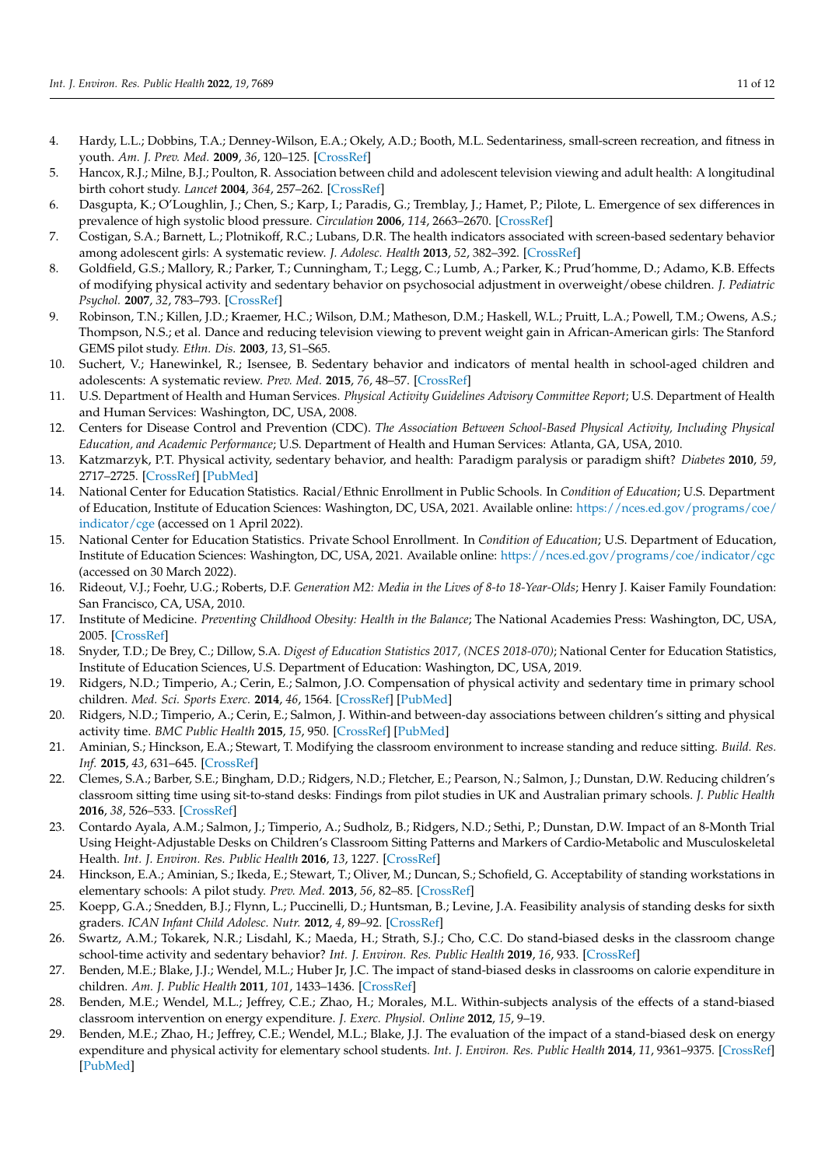- <span id="page-10-0"></span>4. Hardy, L.L.; Dobbins, T.A.; Denney-Wilson, E.A.; Okely, A.D.; Booth, M.L. Sedentariness, small-screen recreation, and fitness in youth. *Am. J. Prev. Med.* **2009**, *36*, 120–125. [\[CrossRef\]](http://doi.org/10.1016/j.amepre.2008.09.034)
- <span id="page-10-1"></span>5. Hancox, R.J.; Milne, B.J.; Poulton, R. Association between child and adolescent television viewing and adult health: A longitudinal birth cohort study. *Lancet* **2004**, *364*, 257–262. [\[CrossRef\]](http://doi.org/10.1016/S0140-6736(04)16675-0)
- <span id="page-10-2"></span>6. Dasgupta, K.; O'Loughlin, J.; Chen, S.; Karp, I.; Paradis, G.; Tremblay, J.; Hamet, P.; Pilote, L. Emergence of sex differences in prevalence of high systolic blood pressure. *Circulation* **2006**, *114*, 2663–2670. [\[CrossRef\]](http://doi.org/10.1161/CIRCULATIONAHA.106.624536)
- <span id="page-10-3"></span>7. Costigan, S.A.; Barnett, L.; Plotnikoff, R.C.; Lubans, D.R. The health indicators associated with screen-based sedentary behavior among adolescent girls: A systematic review. *J. Adolesc. Health* **2013**, *52*, 382–392. [\[CrossRef\]](http://doi.org/10.1016/j.jadohealth.2012.07.018)
- 8. Goldfield, G.S.; Mallory, R.; Parker, T.; Cunningham, T.; Legg, C.; Lumb, A.; Parker, K.; Prud'homme, D.; Adamo, K.B. Effects of modifying physical activity and sedentary behavior on psychosocial adjustment in overweight/obese children. *J. Pediatric Psychol.* **2007**, *32*, 783–793. [\[CrossRef\]](http://doi.org/10.1093/jpepsy/jsm017)
- 9. Robinson, T.N.; Killen, J.D.; Kraemer, H.C.; Wilson, D.M.; Matheson, D.M.; Haskell, W.L.; Pruitt, L.A.; Powell, T.M.; Owens, A.S.; Thompson, N.S.; et al. Dance and reducing television viewing to prevent weight gain in African-American girls: The Stanford GEMS pilot study. *Ethn. Dis.* **2003**, *13*, S1–S65.
- <span id="page-10-4"></span>Suchert, V.; Hanewinkel, R.; Isensee, B. Sedentary behavior and indicators of mental health in school-aged children and adolescents: A systematic review. *Prev. Med.* **2015**, *76*, 48–57. [\[CrossRef\]](http://doi.org/10.1016/j.ypmed.2015.03.026)
- <span id="page-10-5"></span>11. U.S. Department of Health and Human Services. *Physical Activity Guidelines Advisory Committee Report*; U.S. Department of Health and Human Services: Washington, DC, USA, 2008.
- <span id="page-10-6"></span>12. Centers for Disease Control and Prevention (CDC). *The Association Between School-Based Physical Activity, Including Physical Education, and Academic Performance*; U.S. Department of Health and Human Services: Atlanta, GA, USA, 2010.
- <span id="page-10-7"></span>13. Katzmarzyk, P.T. Physical activity, sedentary behavior, and health: Paradigm paralysis or paradigm shift? *Diabetes* **2010**, *59*, 2717–2725. [\[CrossRef\]](http://doi.org/10.2337/db10-0822) [\[PubMed\]](http://www.ncbi.nlm.nih.gov/pubmed/20980470)
- <span id="page-10-8"></span>14. National Center for Education Statistics. Racial/Ethnic Enrollment in Public Schools. In *Condition of Education*; U.S. Department of Education, Institute of Education Sciences: Washington, DC, USA, 2021. Available online: [https://nces.ed.gov/programs/coe/](https://nces.ed.gov/programs/coe/indicator/cge) [indicator/cge](https://nces.ed.gov/programs/coe/indicator/cge) (accessed on 1 April 2022).
- <span id="page-10-9"></span>15. National Center for Education Statistics. Private School Enrollment. In *Condition of Education*; U.S. Department of Education, Institute of Education Sciences: Washington, DC, USA, 2021. Available online: <https://nces.ed.gov/programs/coe/indicator/cgc> (accessed on 30 March 2022).
- <span id="page-10-10"></span>16. Rideout, V.J.; Foehr, U.G.; Roberts, D.F. *Generation M2: Media in the Lives of 8-to 18-Year-Olds*; Henry J. Kaiser Family Foundation: San Francisco, CA, USA, 2010.
- <span id="page-10-11"></span>17. Institute of Medicine. *Preventing Childhood Obesity: Health in the Balance*; The National Academies Press: Washington, DC, USA, 2005. [\[CrossRef\]](http://doi.org/10.17226/11015)
- <span id="page-10-12"></span>18. Snyder, T.D.; De Brey, C.; Dillow, S.A. *Digest of Education Statistics 2017, (NCES 2018-070)*; National Center for Education Statistics, Institute of Education Sciences, U.S. Department of Education: Washington, DC, USA, 2019.
- <span id="page-10-13"></span>19. Ridgers, N.D.; Timperio, A.; Cerin, E.; Salmon, J.O. Compensation of physical activity and sedentary time in primary school children. *Med. Sci. Sports Exerc.* **2014**, *46*, 1564. [\[CrossRef\]](http://doi.org/10.1249/MSS.0000000000000275) [\[PubMed\]](http://www.ncbi.nlm.nih.gov/pubmed/24492632)
- <span id="page-10-14"></span>20. Ridgers, N.D.; Timperio, A.; Cerin, E.; Salmon, J. Within-and between-day associations between children's sitting and physical activity time. *BMC Public Health* **2015**, *15*, 950. [\[CrossRef\]](http://doi.org/10.1186/s12889-015-2291-3) [\[PubMed\]](http://www.ncbi.nlm.nih.gov/pubmed/26400793)
- <span id="page-10-15"></span>21. Aminian, S.; Hinckson, E.A.; Stewart, T. Modifying the classroom environment to increase standing and reduce sitting. *Build. Res. Inf.* **2015**, *43*, 631–645. [\[CrossRef\]](http://doi.org/10.1080/09613218.2015.1058093)
- 22. Clemes, S.A.; Barber, S.E.; Bingham, D.D.; Ridgers, N.D.; Fletcher, E.; Pearson, N.; Salmon, J.; Dunstan, D.W. Reducing children's classroom sitting time using sit-to-stand desks: Findings from pilot studies in UK and Australian primary schools. *J. Public Health* **2016**, *38*, 526–533. [\[CrossRef\]](http://doi.org/10.1093/pubmed/fdv084)
- 23. Contardo Ayala, A.M.; Salmon, J.; Timperio, A.; Sudholz, B.; Ridgers, N.D.; Sethi, P.; Dunstan, D.W. Impact of an 8-Month Trial Using Height-Adjustable Desks on Children's Classroom Sitting Patterns and Markers of Cardio-Metabolic and Musculoskeletal Health. *Int. J. Environ. Res. Public Health* **2016**, *13*, 1227. [\[CrossRef\]](http://doi.org/10.3390/ijerph13121227)
- 24. Hinckson, E.A.; Aminian, S.; Ikeda, E.; Stewart, T.; Oliver, M.; Duncan, S.; Schofield, G. Acceptability of standing workstations in elementary schools: A pilot study. *Prev. Med.* **2013**, *56*, 82–85. [\[CrossRef\]](http://doi.org/10.1016/j.ypmed.2012.10.014)
- 25. Koepp, G.A.; Snedden, B.J.; Flynn, L.; Puccinelli, D.; Huntsman, B.; Levine, J.A. Feasibility analysis of standing desks for sixth graders. *ICAN Infant Child Adolesc. Nutr.* **2012**, *4*, 89–92. [\[CrossRef\]](http://doi.org/10.1177/1941406412439414)
- <span id="page-10-16"></span>26. Swartz, A.M.; Tokarek, N.R.; Lisdahl, K.; Maeda, H.; Strath, S.J.; Cho, C.C. Do stand-biased desks in the classroom change school-time activity and sedentary behavior? *Int. J. Environ. Res. Public Health* **2019**, *16*, 933. [\[CrossRef\]](http://doi.org/10.3390/ijerph16060933)
- <span id="page-10-17"></span>27. Benden, M.E.; Blake, J.J.; Wendel, M.L.; Huber Jr, J.C. The impact of stand-biased desks in classrooms on calorie expenditure in children. *Am. J. Public Health* **2011**, *101*, 1433–1436. [\[CrossRef\]](http://doi.org/10.2105/AJPH.2010.300072)
- 28. Benden, M.E.; Wendel, M.L.; Jeffrey, C.E.; Zhao, H.; Morales, M.L. Within-subjects analysis of the effects of a stand-biased classroom intervention on energy expenditure. *J. Exerc. Physiol. Online* **2012**, *15*, 9–19.
- <span id="page-10-18"></span>29. Benden, M.E.; Zhao, H.; Jeffrey, C.E.; Wendel, M.L.; Blake, J.J. The evaluation of the impact of a stand-biased desk on energy expenditure and physical activity for elementary school students. *Int. J. Environ. Res. Public Health* **2014**, *11*, 9361–9375. [\[CrossRef\]](http://doi.org/10.3390/ijerph110909361) [\[PubMed\]](http://www.ncbi.nlm.nih.gov/pubmed/25211776)